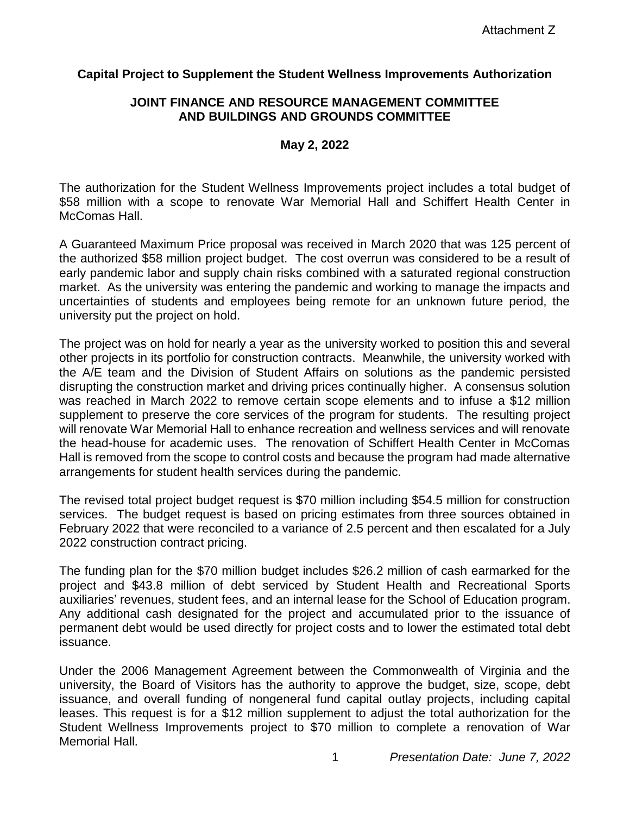# **Capital Project to Supplement the Student Wellness Improvements Authorization**

### **JOINT FINANCE AND RESOURCE MANAGEMENT COMMITTEE AND BUILDINGS AND GROUNDS COMMITTEE**

### **May 2, 2022**

The authorization for the Student Wellness Improvements project includes a total budget of \$58 million with a scope to renovate War Memorial Hall and Schiffert Health Center in McComas Hall.

A Guaranteed Maximum Price proposal was received in March 2020 that was 125 percent of the authorized \$58 million project budget. The cost overrun was considered to be a result of early pandemic labor and supply chain risks combined with a saturated regional construction market. As the university was entering the pandemic and working to manage the impacts and uncertainties of students and employees being remote for an unknown future period, the university put the project on hold.

The project was on hold for nearly a year as the university worked to position this and several other projects in its portfolio for construction contracts. Meanwhile, the university worked with the A/E team and the Division of Student Affairs on solutions as the pandemic persisted disrupting the construction market and driving prices continually higher. A consensus solution was reached in March 2022 to remove certain scope elements and to infuse a \$12 million supplement to preserve the core services of the program for students. The resulting project will renovate War Memorial Hall to enhance recreation and wellness services and will renovate the head-house for academic uses. The renovation of Schiffert Health Center in McComas Hall is removed from the scope to control costs and because the program had made alternative arrangements for student health services during the pandemic.

The revised total project budget request is \$70 million including \$54.5 million for construction services. The budget request is based on pricing estimates from three sources obtained in February 2022 that were reconciled to a variance of 2.5 percent and then escalated for a July 2022 construction contract pricing.

The funding plan for the \$70 million budget includes \$26.2 million of cash earmarked for the project and \$43.8 million of debt serviced by Student Health and Recreational Sports auxiliaries' revenues, student fees, and an internal lease for the School of Education program. Any additional cash designated for the project and accumulated prior to the issuance of permanent debt would be used directly for project costs and to lower the estimated total debt issuance.

Under the 2006 Management Agreement between the Commonwealth of Virginia and the university, the Board of Visitors has the authority to approve the budget, size, scope, debt issuance, and overall funding of nongeneral fund capital outlay projects, including capital leases. This request is for a \$12 million supplement to adjust the total authorization for the Student Wellness Improvements project to \$70 million to complete a renovation of War Memorial Hall.